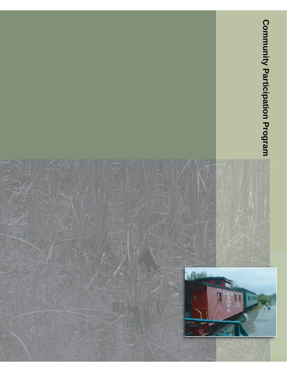

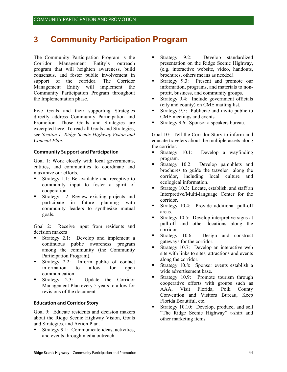# **3 Community Participation Program**

The Community Participation Program is the Corridor Management Entity's outreach program that will heighten awareness, build consensus, and foster public involvement in support of the corridor. The Corridor Management Entity will implement the Community Participation Program throughout the Implementation phase.

Five Goals and their supporting Strategies directly address Community Participation and Promotion. Those Goals and Strategies are excerpted here. To read all Goals and Strategies, see *Section 1: Ridge Scenic Highway Vision and Concept Plan*.

#### **Community Support and Participation**

Goal 1: Work closely with local governments, entities, and communities to coordinate and maximize our efforts.

- Strategy 1.1: Be available and receptive to community input to foster a spirit of cooperation.
- Strategy 1.2: Review existing projects and participate in future planning with community leaders to synthesize mutual goals.

Goal 2: Receive input from residents and decision makers

- Strategy 2.1: Develop and implement a continuous public awareness program among the community (the Community Participation Program).
- Strategy 2.2: Inform public of contact information to allow for open communication.
- Strategy 2.3: Update the Corridor Management Plan every 5 years to allow for revisions of the document.

#### **Education and Corridor Story**

Goal 9: Educate residents and decision makers about the Ridge Scenic Highway Vision, Goals and Strategies, and Action Plan.

 Strategy 9.1: Communicate ideas, activities, and events through media outreach.

- **Strategy 9.2:** Develop standardized presentation on the Ridge Scenic Highway, (e.g. interactive website, video, handouts, brochures, others means as needed).
- Strategy 9.3: Present and promote our information, programs, and materials to nonprofit, business, and community groups.
- **Strategy 9.4:** Include government officials (city and county) on CME mailing list.
- **Strategy 9.5:** Publicize and invite public to CME meetings and events.
- Strategy 9.6: Sponsor a speakers bureau.

Goal 10: Tell the Corridor Story to inform and educate travelers about the multiple assets along the corridor..

- **Strategy 10.1:** Develop a wayfinding program.
- Strategy 10.2: Develop pamphlets and brochures to guide the traveler along the corridor, including local culture and ecological information.
- Strategy 10.3: Locate, establish, and staff an Interpretive/Multi-language Center for the corridor.
- **Strategy 10.4:** Provide additional pull-off areas.
- **Strategy 10.5: Develop interpretive signs at** pull-off and other locations along the corridor.
- Strategy 10.6: Design and construct gateways for the corridor.
- Strategy 10.7: Develop an interactive web site with links to sites, attractions and events along the corridor.
- **Strategy 10.8:** Sponsor events establish a wide advertisement base.
- Strategy 10.9: Promote tourism through cooperative efforts with groups such as AAA, Visit Florida, Polk County Convention and Visitors Bureau, Keep Florida Beautiful, etc.
- Strategy 10.10: Develop, produce, and sell "The Ridge Scenic Highway" t-shirt and other marketing items.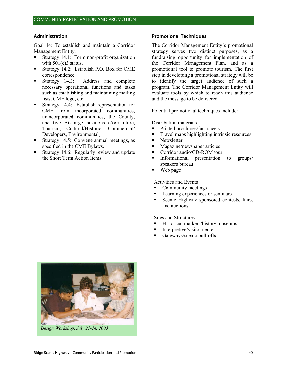#### **Administration**

Goal 14: To establish and maintain a Corridor Management Entity.

- Strategy 14.1: Form non-profit organization with  $501(c)3$  status.
- Strategy 14.2: Establish P.O. Box for CME correspondence.
- Strategy 14.3: Address and complete necessary operational functions and tasks such as establishing and maintaining mailing lists, CME logo, etc.
- **Strategy 14.4:** Establish representation for CME from incorporated communities, unincorporated communities, the County, and five At-Large positions (Agriculture, Tourism, Cultural/Historic, Commercial/ Developers, Environmental).
- Strategy 14.5: Convene annual meetings, as specified in the CME Bylaws.
- Strategy 14.6: Regularly review and update the Short Term Action Items.

#### **Promotional Techniques**

The Corridor Management Entity's promotional strategy serves two distinct purposes, as a fundraising opportunity for implementation of the Corridor Management Plan, and as a promotional tool to promote tourism. The first step in developing a promotional strategy will be to identify the target audience of such a program. The Corridor Management Entity will evaluate tools by which to reach this audience and the message to be delivered.

Potential promotional techniques include:

Distribution materials

- Printed brochures/fact sheets
- Travel maps highlighting intrinsic resources
- Newsletter
- Magazine/newspaper articles<br>• Corridor audio/CD-ROM tour
- Corridor audio/CD-ROM tour
- Informational presentation to groups/ speakers bureau
- Web page

Activities and Events

- Community meetings
- Learning experiences or seminars
- Scenic Highway sponsored contests, fairs, and auctions

Sites and Structures

- Historical markers/history museums
- Interpretive/visitor center
- Gateways/scenic pull-offs



*Design Workshop, July 21-24, 2003*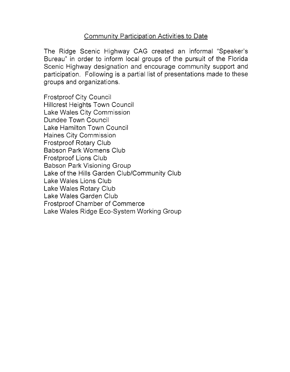## **Community Participation Activities to Date**

The Ridge Scenic Highway CAG created an informal "Speaker's Bureau" in order to inform local groups of the pursuit of the Florida Scenic Highway designation and encourage community support and participation. Following is a partial list of presentations made to these groups and organizations.

**Frostproof City Council Hillcrest Heights Town Council** Lake Wales City Commission Dundee Town Council Lake Hamilton Town Council Haines City Commission **Frostproof Rotary Club Babson Park Womens Club Frostproof Lions Club** Babson Park Visioning Group Lake of the Hills Garden Club/Community Club Lake Wales Lions Club Lake Wales Rotary Club Lake Wales Garden Club **Frostproof Chamber of Commerce** Lake Wales Ridge Eco-System Working Group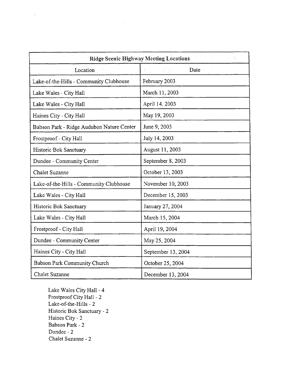| <b>Ridge Scenic Highway Meeting Locations</b><br>ù. |                    |
|-----------------------------------------------------|--------------------|
| Location                                            | Date               |
| Lake-of-the-Hills - Community Clubhouse             | February 2003      |
| Lake Wales - City Hall                              | March 11, 2003     |
| Lake Wales - City Hall                              | April 14, 2003     |
| Haines City - City Hall                             | May 19, 2003       |
| Babson Park - Ridge Audubon Nature Center           | June 9, 2003       |
| Frostproof - City Hall                              | July 14, 2003      |
| Historic Bok Sanctuary                              | August 11, 2003    |
| Dundee - Community Center                           | September 8, 2003  |
| <b>Chalet Suzanne</b>                               | October 13, 2003   |
| Lake-of-the-Hills - Community Clubhouse             | November 10, 2003  |
| Lake Wales - City Hall                              | December 15, 2003  |
| Historic Bok Sanctuary                              | January 27, 2004   |
| Lake Wales - City Hall                              | March 15, 2004     |
| Frostproof - City Hall                              | April 19, 2004     |
| Dundee - Community Center                           | May 25, 2004       |
| Haines City - City Hall                             | September 13, 2004 |
| Babson Park Community Church                        | October 25, 2004   |
| <b>Chalet Suzanne</b>                               | December 13, 2004  |

Lake Wales City Hall - 4 Frostproof City Hall - 2 Lake-of-the-Hills - 2 Historic Bok Sanctuary - 2 Haines City - 2 Babson Park - 2 Dundee - 2 Chalet Suzanne - 2

 $\bar{\phantom{a}}$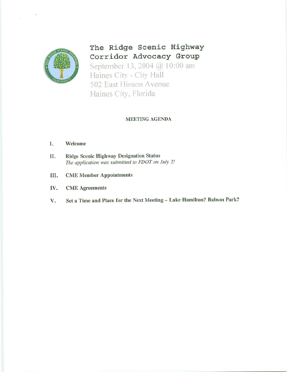

The Ridge Scenic Highway Corridor Advocacy Group September 13, 2004 @ 10:00 am Haines City - City Hall 502 East Hinson Avenue Haines City, Florida

#### **MEETING AGENDA**

#### I. Welcome

- Ridge Scenic Highway Designation Status П. The application was submitted to FDOT on July 2!
- Ш. **CME Member Appointments**
- IV. **CME** Agreements
- Set a Time and Place for the Next Meeting Lake Hamilton? Babson Park? V.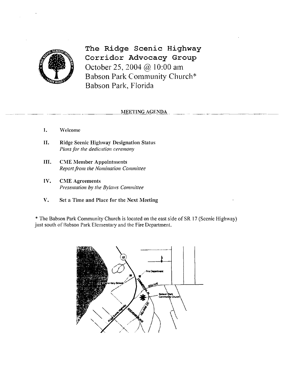

The Ridge Scenic Highway Corridor Advocacy Group October 25, 2004 @ 10:00 am Babson Park Community Church\* Babson Park, Florida

#### MEETING AGENDA

- $\mathbf{I}$ . Welcome
- II. **Ridge Scenic Highway Designation Status** Plans for the dedication ceremony
- III. **CME Member Appointments** Report from the Nomination Committee
- IV. **CME Agreements** Presentation by the Bylaws Committee
- V. Set a Time and Place for the Next Meeting

\* The Babson Park Community Church is located on the east side of SR 17 (Scenic Highway) just south of Babson Park Elementary and the Fire Department.

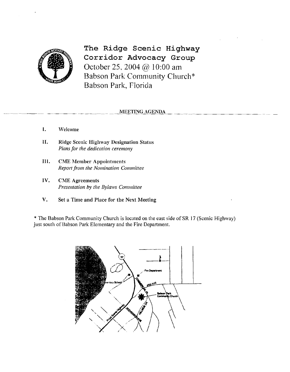

The Ridge Scenic Highway Corridor Advocacy Group October 25, 2004 @ 10:00 am Babson Park Community Church\* Babson Park, Florida

#### **MEETING AGENDA**

- $\mathbf{I}$ . Welcome
- II. **Ridge Scenic Highway Designation Status** Plans for the dedication ceremony
- III. **CME Member Appointments** Report from the Nomination Committee
- IV. **CME** Agreements Presentation by the Bylaws Committee
- V. Set a Time and Place for the Next Meeting

\* The Babson Park Community Church is located on the east side of SR 17 (Scenic Highway) just south of Babson Park Elementary and the Fire Department.

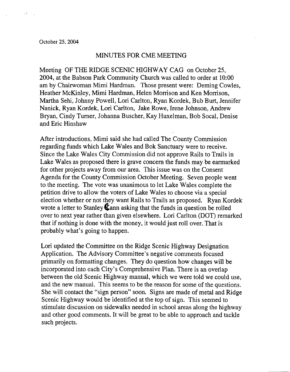### MINUTES FOR CME MEETING

Meeting OF THE RIDGE SCENIC HIGHWAY CAG on October 25, 2004, at the Babson Park Community Church was called to order at 10:00 am by Chairwoman Mimi Hardman. Those present were: Deming Cowles, Heather McKinley, Mimi Hardman, Helen Morrison and Ken Morrison. Martha Sehi, Johnny Powell, Lori Carlton, Ryan Kordek, Bub Burt, Jennifer Nanick, Ryan Kordek, Lori Carlton, Jake Rowe, Irene Johnson, Andrew Bryan, Cindy Turner, Johanna Buscher, Kay Huxelman, Bob Socal, Denise and Eric Hinshaw

After introductions, Mimi said she had called The County Commission regarding funds which Lake Wales and Bok Sanctuary were to receive. Since the Lake Wales City Commission did not approve Rails to Trails in Lake Wales as proposed there is grave concern the funds may be earmarked for other projects away from our area. This issue was on the Consent Agenda for the County Commission October Meeting. Seven people went to the meeting. The vote was unanimous to let Lake Wales complete the petition drive to allow the voters of Lake Wales to choose via a special election whether or not they want Rails to Trails as proposed. Ryan Kordek wrote a letter to Stanley  $\&$  ann asking that the funds in question be rolled over to next year rather than given elsewhere. Lori Carlton (DOT) remarked that if nothing is done with the money, it would just roll over. That is probably what's going to happen.

Lori updated the Committee on the Ridge Scenic Highway Designation Application. The Advisory Committee's negative comments focused primarily on formatting changes. They do question how changes will be incorporated into each City's Comprehensive Plan. There is an overlap between the old Scenic Highway manual, which we were told we could use, and the new manual. This seems to be the reason for some of the questions. She will contact the "sign person" soon. Signs are made of metal and Ridge Scenic Highway would be identified at the top of sign. This seemed to stimulate discussion on sidewalks needed in school areas along the highway and other good comments. It will be great to be able to approach and tackle such projects.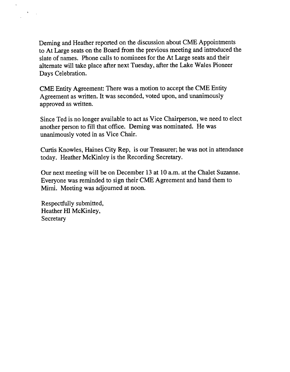Deming and Heather reported on the discussion about CME Appointments to At Large seats on the Board from the previous meeting and introduced the slate of names. Phone calls to nominees for the At Large seats and their alternate will take place after next Tuesday, after the Lake Wales Pioneer Days Celebration.

CME Entity Agreement: There was a motion to accept the CME Entity Agreement as written. It was seconded, voted upon, and unanimously approved as written.

Since Ted is no longer available to act as Vice Chairperson, we need to elect another person to fill that office. Deming was nominated. He was unanimously voted in as Vice Chair.

Curtis Knowles, Haines City Rep, is our Treasurer; he was not in attendance today. Heather McKinley is the Recording Secretary.

Our next meeting will be on December 13 at 10 a.m. at the Chalet Suzanne. Everyone was reminded to sign their CME Agreement and hand them to Mimi. Meeting was adjourned at noon.

Respectfully submitted, Heather HI McKinley, Secretary

 $\mathcal{A}=\mathcal{A}$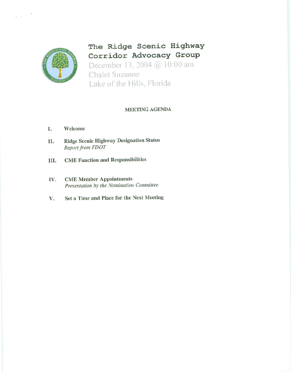

 $\chi^2 \in \mathbb{R}^{N \times N}$ 

The Ridge Scenic Highway Corridor Advocacy Group December 13, 2004 @ 10:00 am **Chalet Suzanne** Lake of the Hills, Florida

#### **MEETING AGENDA**

- Welcome I.
- **Ridge Scenic Highway Designation Status** П. Report from FDOT
- **CME Function and Responsibilities** Ш.
- **CME Member Appointments** IV. Presentation by the Nomination Committee
- Set a Time and Place for the Next Meeting V.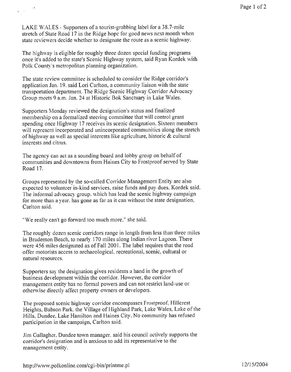LAKE WALES - Supporters of a tourist-grabbing label for a 38.7-mile stretch of State Road 17 in the Ridge hope for good news next month when state reviewers decide whether to designate the route as a scenic highway.

 $\epsilon \rightarrow \infty$ 

The highway is eligible for roughly three dozen special funding programs once it's added to the state's Scenic Highway system, said Ryan Kordek with Polk County's metropolitan planning organization.

The state review committee is scheduled to consider the Ridge corridor's application Jan. 19, said Lori Carlton, a community liaison with the state transportation department. The Ridge Scenic Highway Corridor Advocacy Group meets 9 a.m. Jan. 24 at Historic Bok Sanctuary in Lake Wales.

Supporters Monday reviewed the designation's status and finalized membership on a formalized steering committee that will control grant spending once Highway 17 receives its scenic designation. Sixteen members will represent incorporated and unincorporated communities along the stretch of highway as well as special interests like agriculture, historic  $\&$  cultural interests and citrus.

The agency can act as a sounding board and lobby group on behalf of communities and downtowns from Haines City to Frostproof served by State Road 17.

Groups represented by the so-called Corridor Management Entity are also expected to volunteer in-kind services, raise funds and pay dues. Kordek said. The informal advocacy group, which has lead the scenic highway campaign for more than a year, has gone as far as it can without the state designation, Carlton said.

"We really can't go forward too much more," she said.

The roughly dozen scenic corridors range in length from less than three miles in Bradenton Beach, to nearly 170 miles along Indian river Lagoon. There were 456 miles designated as of Fall 2001. The label requires that the road offer motorists access to archaeological, recreational, scenic, cultural or natural resources.

Supporters say the designation gives residents a hand in the growth of business development within the corridor. However, the corridor management entity has no formal powers and can not restrict land-use or otherwise directly affect property owners or developers.

The proposed scenic highway corridor encompasses Frostproof, Hillcrest Heights, Babson Park, the Village of Highland Park, Lake Wales, Lake of the Hills, Dundee, Lake Hamilton and Haines City. No community has refused participation in the campaign, Carlton said.

Jim Gallagher, Dundee town manager, said his council actively supports the corridor's designation and is anxious to add its representative to the management entity.